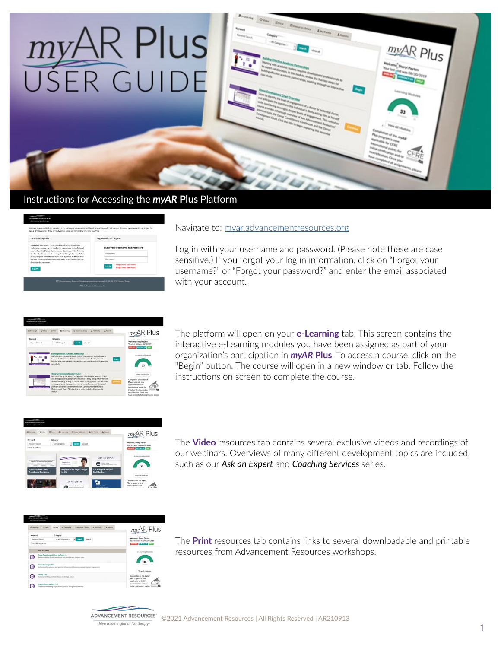

## Instructions for Accessing the *myAR* **Plus** Platform

| New User? Sign Up.                                                                                                                                                                                                                                                                                                                                                                                                 | Registered User? Sign In.                                                                                             |  |  |  |  |
|--------------------------------------------------------------------------------------------------------------------------------------------------------------------------------------------------------------------------------------------------------------------------------------------------------------------------------------------------------------------------------------------------------------------|-----------------------------------------------------------------------------------------------------------------------|--|--|--|--|
| myAR brings globally recognized development tools and<br>techniques to you-when and where you need them. Refresh<br>yourself on the Donor Commitment Continuum, the Priority<br>Grid, or the Process for Locating Philanthropic Passion". Take<br>charge of your own professional development. Find out what<br>options are available for your next step in the professionally<br>developed curriculum.<br>Sign Up | Enter your Username and Password.<br>Username<br>Pacquared<br>Forgot your username?<br>Login<br>Forgot your password? |  |  |  |  |

## Navigate to: [myar.advancementresources.org](http://myar.advancementresources.org)

Log in with your username and password. (Please note these are case sensitive.) If you forgot your log in information, click on "Forgot your username?" or "Forgot your password?" and enter the email associated with your account.



The platform will open on your **e-Learning** tab. This screen contains the interactive e-Learning modules you have been assigned as part of your organization's participation in *myAR* **Plus**. To access a course, click on the "Begin" button. The course will open in a new window or tab. Follow the instructions on screen to complete the course.



The **Video** resources tab contains several exclusive videos and recordings of our webinars. Overviews of many different development topics are included, such as our *Ask an Expert* and *Coaching Services* series.

| <b>III</b> Transcript                                                                    | C Video                                                                                                                     | <b>III</b> Print | <b>B</b> e-Learning                                                               | <b>III Resource Library</b> | £ My Profile | <b>1</b> Reports                                         | $myAR$ Plus                                                          |
|------------------------------------------------------------------------------------------|-----------------------------------------------------------------------------------------------------------------------------|------------------|-----------------------------------------------------------------------------------|-----------------------------|--------------|----------------------------------------------------------|----------------------------------------------------------------------|
| Keyword<br>Category<br>-- All Categories --<br>Keyword Search<br>View all<br>ы<br>search |                                                                                                                             |                  |                                                                                   |                             |              | Welcome, Sheryl Payton<br>Your last visit was 08/30/2019 |                                                                      |
|                                                                                          | Found 28 resources                                                                                                          |                  |                                                                                   |                             |              |                                                          | SIGN OUT CONTACT US HELP                                             |
| <b>RESOURCE NAME</b>                                                                     |                                                                                                                             |                  |                                                                                   |                             |              |                                                          | e-Learning Modules                                                   |
|                                                                                          | Donor Development Chart for Projects<br>Tool for assessing donor commitment and planning next strategic steps               |                  |                                                                                   |                             |              |                                                          |                                                                      |
|                                                                                          | <b>Donor Tracking Fokler</b><br>Tool for qualifying donors and applying Advancement Resources concepts to track engagement. |                  | <b>View All Modules</b>                                                           |                             |              |                                                          |                                                                      |
|                                                                                          | Pelority Crid<br>Tool for prioritizing portfolios based on strategic factors                                                |                  |                                                                                   |                             |              |                                                          | Completion of the myAR<br>Plus program is now<br>applicable for CFRE |
|                                                                                          | Organizational Update Tool<br>Sample tool for sharing erganizational undates during donor meetings.                         |                  | CERE<br>International points for<br>initial certification and/or<br>territory for |                             |              |                                                          |                                                                      |

The **Print** resources tab contains links to several downloadable and printable resources from Advancement Resources workshops.